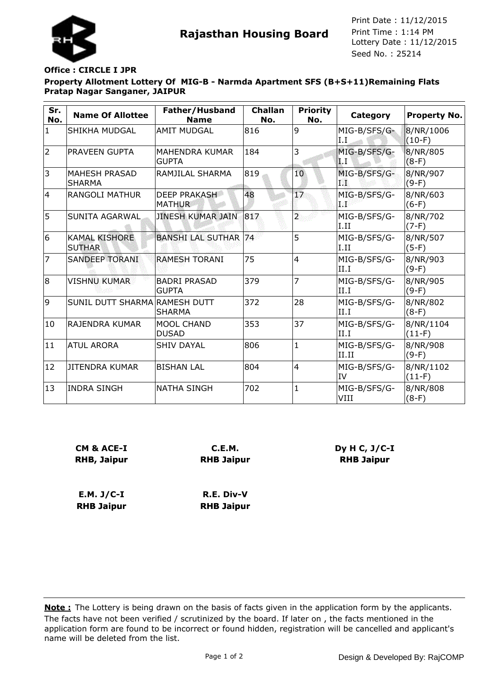

**Rajasthan Housing Board** Print Time : 1:14 PM<br>Lottery Date : 11/12/2015 Seed No. : 25214 Print Date : 11/12/2015 Print Time : 1:14 PM

## **Office : CIRCLE I JPR**

**Property Allotment Lottery Of MIG-B - Narmda Apartment SFS (B+S+11)Remaining Flats Pratap Nagar Sanganer, JAIPUR**

| Sr.<br>No.     | <b>Name Of Allottee</b>               | Father/Husband<br><b>Name</b>         | <b>Challan</b><br>No. | <b>Priority</b><br>No.  | <b>Category</b>                  | <b>Property No.</b>   |
|----------------|---------------------------------------|---------------------------------------|-----------------------|-------------------------|----------------------------------|-----------------------|
| $\mathbf{1}$   | <b>SHIKHA MUDGAL</b>                  | <b>AMIT MUDGAL</b>                    | 816                   | 9                       | MIG-B/SFS/G-<br>I.I              | 8/NR/1006<br>$(10-F)$ |
| $\overline{2}$ | PRAVEEN GUPTA                         | <b>MAHENDRA KUMAR</b><br><b>GUPTA</b> | 184                   | 3                       | MIG-B/SFS/G-<br>$\mathbf{L}$ . I | 8/NR/805<br>$(8-F)$   |
| 3              | <b>MAHESH PRASAD</b><br><b>SHARMA</b> | RAMJILAL SHARMA                       | 819                   | 10                      | MIG-B/SFS/G-<br>TŸ.              | 8/NR/907<br>$(9-F)$   |
| 4              | <b>RANGOLI MATHUR</b>                 | <b>DEEP PRAKASH</b><br><b>MATHUR</b>  | 48                    | 17                      | MIG-B/SFS/G-<br>a 26             | 8/NR/603<br>$(6-F)$   |
| 5              | <b>SUNITA AGARWAL</b>                 | <b>JINESH KUMAR JAIN</b>              | 817                   | $\overline{\mathbf{2}}$ | MIG-B/SFS/G-<br>I.II             | 8/NR/702<br>$(7-F)$   |
| 6              | <b>KAMAL KISHORE</b><br><b>SUTHAR</b> | <b>BANSHI LAL SUTHAR</b>              | 74                    | 5                       | MIG-B/SFS/G-<br>I.II             | 8/NR/507<br>$(5-F)$   |
| $\overline{7}$ | <b>SANDEEP TORANI</b>                 | <b>RAMESH TORANI</b>                  | 75                    | 4                       | MIG-B/SFS/G-<br>II.I             | 8/NR/903<br>$(9-F)$   |
| 8              | <b>VISHNU KUMAR</b>                   | <b>BADRI PRASAD</b><br><b>GUPTA</b>   | 379                   | $\overline{7}$          | MIG-B/SFS/G-<br>II.I             | 8/NR/905<br>$(9-F)$   |
| 9              | SUNIL DUTT SHARMA RAMESH DUTT         | <b>SHARMA</b>                         | 372                   | 28                      | MIG-B/SFS/G-<br>II.I             | 8/NR/802<br>$(8-F)$   |
| 10             | IRAJENDRA KUMAR                       | <b>MOOL CHAND</b><br><b>DUSAD</b>     | 353                   | 37                      | MIG-B/SFS/G-<br>II.I             | 8/NR/1104<br>$(11-F)$ |
| 11             | <b>ATUL ARORA</b>                     | <b>SHIV DAYAL</b>                     | 806                   | $\mathbf{1}$            | MIG-B/SFS/G-<br>II.II            | 8/NR/908<br>$(9-F)$   |
| 12             | JITENDRA KUMAR                        | <b>BISHAN LAL</b>                     | 804                   | 4                       | MIG-B/SFS/G-<br>IV               | 8/NR/1102<br>$(11-F)$ |
| 13             | <b>INDRA SINGH</b>                    | <b>NATHA SINGH</b>                    | 702                   | $\mathbf{1}$            | MIG-B/SFS/G-<br>VIII             | 8/NR/808<br>$(8-F)$   |

| CM & ACE-I        | C.E.M.            |  |  |  |
|-------------------|-------------------|--|--|--|
| RHB, Jaipur       | <b>RHB Jaipur</b> |  |  |  |
| $E.M. J/C-I$      | R.E. Div-V        |  |  |  |
| <b>RHB Jaipur</b> | <b>RHB Jaipur</b> |  |  |  |

**Dy H C, J/C-I RHB Jaipur**

The facts have not been verified / scrutinized by the board. If later on , the facts mentioned in the application form are found to be incorrect or found hidden, registration will be cancelled and applicant's name will be deleted from the list. **Note :** The Lottery is being drawn on the basis of facts given in the application form by the applicants.